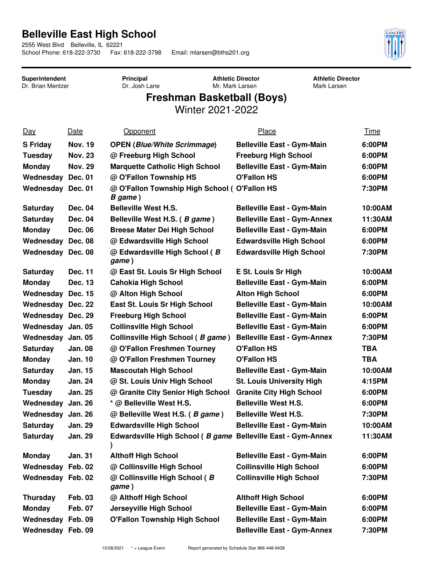## **Belleville East High School**

2555 West Blvd Belleville, IL 62221<br>School Phone: 618-222-3730 Fax: 618-222-3798

Email: mlarsen@bths201.org



**Superintendent** Dr. Brian Mentzer **Principal** Dr. Josh Lane **Athletic Director** Mr. Mark Larsen

**Athletic Director** Mark Larsen

## **Freshman Basketball (Boys)**

Winter 2021-2022

| <u>Day</u>               | Date           | <b>Opponent</b>                                              | Place                              | Time    |
|--------------------------|----------------|--------------------------------------------------------------|------------------------------------|---------|
| <b>S Friday</b>          | <b>Nov. 19</b> | <b>OPEN (Blue/White Scrimmage)</b>                           | <b>Belleville East - Gym-Main</b>  | 6:00PM  |
| Tuesday                  | <b>Nov. 23</b> | @ Freeburg High School                                       | <b>Freeburg High School</b>        | 6:00PM  |
| <b>Monday</b>            | <b>Nov. 29</b> | <b>Marquette Catholic High School</b>                        | <b>Belleville East - Gym-Main</b>  | 6:00PM  |
| Wednesday Dec. 01        |                | @ O'Fallon Township HS                                       | <b>O'Fallon HS</b>                 | 6:00PM  |
| Wednesday Dec. 01        |                | @ O'Fallon Township High School (O'Fallon HS<br>B game)      |                                    | 7:30PM  |
| <b>Saturday</b>          | Dec. 04        | <b>Belleville West H.S.</b>                                  | <b>Belleville East - Gym-Main</b>  | 10:00AM |
| <b>Saturday</b>          | Dec. 04        | Belleville West H.S. (B game)                                | <b>Belleville East - Gym-Annex</b> | 11:30AM |
| <b>Monday</b>            | <b>Dec. 06</b> | <b>Breese Mater Dei High School</b>                          | <b>Belleville East - Gym-Main</b>  | 6:00PM  |
| Wednesday Dec. 08        |                | @ Edwardsville High School                                   | <b>Edwardsville High School</b>    | 6:00PM  |
| Wednesday Dec. 08        |                | @ Edwardsville High School (B<br>game)                       | <b>Edwardsville High School</b>    | 7:30PM  |
| <b>Saturday</b>          | <b>Dec. 11</b> | @ East St. Louis Sr High School                              | E St. Louis Sr High                | 10:00AM |
| <b>Monday</b>            | Dec. 13        | <b>Cahokia High School</b>                                   | <b>Belleville East - Gym-Main</b>  | 6:00PM  |
| Wednesday Dec. 15        |                | @ Alton High School                                          | <b>Alton High School</b>           | 6:00PM  |
| <b>Wednesday Dec. 22</b> |                | East St. Louis Sr High School                                | <b>Belleville East - Gym-Main</b>  | 10:00AM |
| <b>Wednesday Dec. 29</b> |                | <b>Freeburg High School</b>                                  | <b>Belleville East - Gym-Main</b>  | 6:00PM  |
| Wednesday Jan. 05        |                | <b>Collinsville High School</b>                              | <b>Belleville East - Gym-Main</b>  | 6:00PM  |
| Wednesday Jan. 05        |                | Collinsville High School (B game)                            | <b>Belleville East - Gym-Annex</b> | 7:30PM  |
| <b>Saturday</b>          | <b>Jan. 08</b> | @ O'Fallon Freshmen Tourney                                  | <b>O'Fallon HS</b>                 | TBA     |
| <b>Monday</b>            | <b>Jan. 10</b> | @ O'Fallon Freshmen Tourney                                  | <b>O'Fallon HS</b>                 | TBA     |
| <b>Saturday</b>          | <b>Jan. 15</b> | <b>Mascoutah High School</b>                                 | <b>Belleville East - Gym-Main</b>  | 10:00AM |
| <b>Monday</b>            | <b>Jan. 24</b> | @ St. Louis Univ High School                                 | <b>St. Louis University High</b>   | 4:15PM  |
| Tuesday                  | <b>Jan. 25</b> | @ Granite City Senior High School                            | <b>Granite City High School</b>    | 6:00PM  |
| Wednesday Jan. 26        |                | * @ Belleville West H.S.                                     | <b>Belleville West H.S.</b>        | 6:00PM  |
| Wednesday Jan. 26        |                | @ Belleville West H.S. (B game)                              | <b>Belleville West H.S.</b>        | 7:30PM  |
| Saturday                 | <b>Jan. 29</b> | <b>Edwardsville High School</b>                              | <b>Belleville East - Gym-Main</b>  | 10:00AM |
| <b>Saturday</b>          | <b>Jan. 29</b> | Edwardsville High School (B game Belleville East - Gym-Annex |                                    | 11:30AM |
| <b>Monday</b>            | Jan. 31        | <b>Althoff High School</b>                                   | <b>Belleville East - Gym-Main</b>  | 6:00PM  |
| Wednesday Feb. 02        |                | @ Collinsville High School                                   | <b>Collinsville High School</b>    | 6:00PM  |
| Wednesday Feb. 02        |                | @ Collinsville High School (B<br>game)                       | <b>Collinsville High School</b>    | 7:30PM  |
| <b>Thursday</b>          | <b>Feb. 03</b> | @ Althoff High School                                        | <b>Althoff High School</b>         | 6:00PM  |
| <b>Monday</b>            | <b>Feb. 07</b> | Jerseyville High School                                      | <b>Belleville East - Gym-Main</b>  | 6:00PM  |
| Wednesday Feb. 09        |                | <b>O'Fallon Township High School</b>                         | <b>Belleville East - Gym-Main</b>  | 6:00PM  |
| Wednesday Feb. 09        |                |                                                              | <b>Belleville East - Gym-Annex</b> | 7:30PM  |
|                          |                |                                                              |                                    |         |